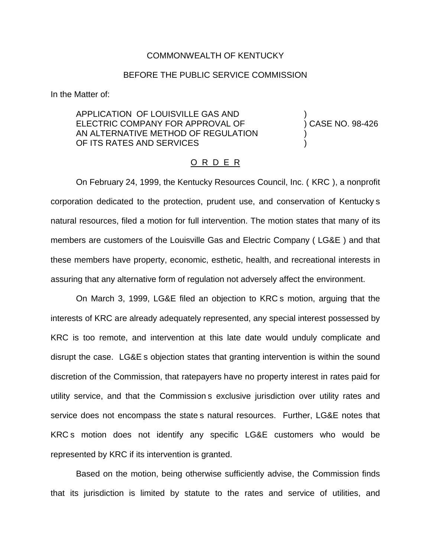## COMMONWEALTH OF KENTUCKY

## BEFORE THE PUBLIC SERVICE COMMISSION

In the Matter of:

APPLICATION OF LOUISVILLE GAS AND ) ELECTRIC COMPANY FOR APPROVAL OF (38-426) AN ALTERNATIVE METHOD OF REGULATION OF ITS RATES AND SERVICES

## O R D E R

On February 24, 1999, the Kentucky Resources Council, Inc. ( KRC ), a nonprofit corporation dedicated to the protection, prudent use, and conservation of Kentucky s natural resources, filed a motion for full intervention. The motion states that many of its members are customers of the Louisville Gas and Electric Company ( LG&E ) and that these members have property, economic, esthetic, health, and recreational interests in assuring that any alternative form of regulation not adversely affect the environment.

On March 3, 1999, LG&E filed an objection to KRC s motion, arguing that the interests of KRC are already adequately represented, any special interest possessed by KRC is too remote, and intervention at this late date would unduly complicate and disrupt the case. LG&E s objection states that granting intervention is within the sound discretion of the Commission, that ratepayers have no property interest in rates paid for utility service, and that the Commission s exclusive jurisdiction over utility rates and service does not encompass the state s natural resources. Further, LG&E notes that KRC s motion does not identify any specific LG&E customers who would be represented by KRC if its intervention is granted.

Based on the motion, being otherwise sufficiently advise, the Commission finds that its jurisdiction is limited by statute to the rates and service of utilities, and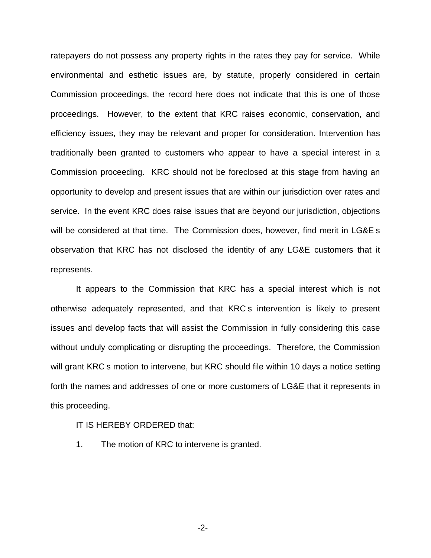ratepayers do not possess any property rights in the rates they pay for service. While environmental and esthetic issues are, by statute, properly considered in certain Commission proceedings, the record here does not indicate that this is one of those proceedings. However, to the extent that KRC raises economic, conservation, and efficiency issues, they may be relevant and proper for consideration. Intervention has traditionally been granted to customers who appear to have a special interest in a Commission proceeding. KRC should not be foreclosed at this stage from having an opportunity to develop and present issues that are within our jurisdiction over rates and service. In the event KRC does raise issues that are beyond our jurisdiction, objections will be considered at that time. The Commission does, however, find merit in LG&E s observation that KRC has not disclosed the identity of any LG&E customers that it represents.

It appears to the Commission that KRC has a special interest which is not otherwise adequately represented, and that KRC s intervention is likely to present issues and develop facts that will assist the Commission in fully considering this case without unduly complicating or disrupting the proceedings. Therefore, the Commission will grant KRC s motion to intervene, but KRC should file within 10 days a notice setting forth the names and addresses of one or more customers of LG&E that it represents in this proceeding.

## IT IS HEREBY ORDERED that:

1. The motion of KRC to intervene is granted.

-2-